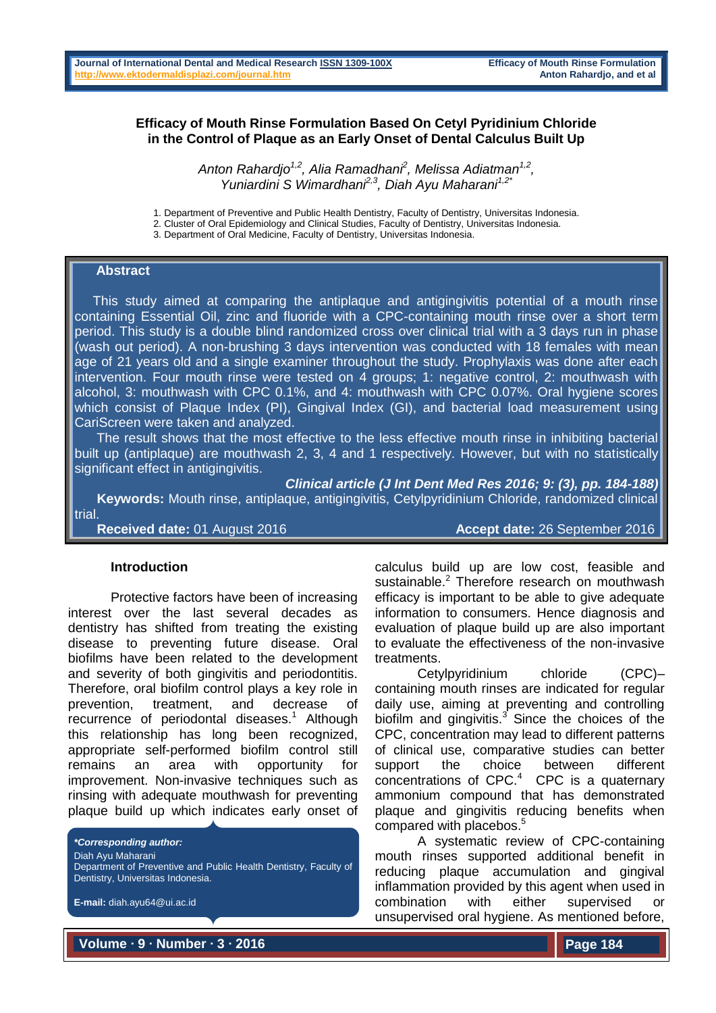### **Efficacy of Mouth Rinse Formulation Based On Cetyl Pyridinium Chloride in the Control of Plaque as an Early Onset of Dental Calculus Built Up**

*Anton Rahardjo1,2, Alia Ramadhani<sup>2</sup> , Melissa Adiatman1,2 , Yuniardini S Wimardhani2,3, Diah Ayu Maharani1,2\**

1. Department of Preventive and Public Health Dentistry, Faculty of Dentistry, Universitas Indonesia.

2. Cluster of Oral Epidemiology and Clinical Studies, Faculty of Dentistry, Universitas Indonesia.

3. Department of Oral Medicine, Faculty of Dentistry, Universitas Indonesia.

#### **Abstract**

 This study aimed at comparing the antiplaque and antigingivitis potential of a mouth rinse containing Essential Oil, zinc and fluoride with a CPC-containing mouth rinse over a short term period. This study is a double blind randomized cross over clinical trial with a 3 days run in phase (wash out period). A non-brushing 3 days intervention was conducted with 18 females with mean age of 21 years old and a single examiner throughout the study. Prophylaxis was done after each intervention. Four mouth rinse were tested on 4 groups; 1: negative control, 2: mouthwash with alcohol, 3: mouthwash with CPC 0.1%, and 4: mouthwash with CPC 0.07%. Oral hygiene scores which consist of Plaque Index (PI), Gingival Index (GI), and bacterial load measurement using CariScreen were taken and analyzed.

 The result shows that the most effective to the less effective mouth rinse in inhibiting bacterial built up (antiplaque) are mouthwash 2, 3, 4 and 1 respectively. However, but with no statistically significant effect in antigingivitis.

*Clinical article (J Int Dent Med Res 2016; 9: (3), pp. 184-188)* 

 **Keywords:** Mouth rinse, antiplaque, antigingivitis, Cetylpyridinium Chloride, randomized clinical trial.

**Received date:** 01 August 2016 **Accept date:** 26 September 2016

#### **Introduction**

Protective factors have been of increasing interest over the last several decades as dentistry has shifted from treating the existing disease to preventing future disease. Oral biofilms have been related to the development and severity of both gingivitis and periodontitis. Therefore, oral biofilm control plays a key role in prevention, treatment, and decrease of recurrence of periodontal diseases.<sup>1</sup> Although this relationship has long been recognized, appropriate self-performed biofilm control still remains an area with opportunity for improvement. Non-invasive techniques such as rinsing with adequate mouthwash for preventing plaque build up which indicates early onset of

*\*Corresponding author:* Diah Ayu Maharani Department of Preventive and Public Health Dentistry, Faculty of Dentistry, Universitas Indonesia.

**E-mail:** diah.ayu64@ui.ac.id

calculus build up are low cost, feasible and sustainable.<sup>2</sup> Therefore research on mouthwash efficacy is important to be able to give adequate information to consumers. Hence diagnosis and evaluation of plaque build up are also important to evaluate the effectiveness of the non-invasive treatments.

Cetylpyridinium chloride (CPC)– containing mouth rinses are indicated for regular daily use, aiming at preventing and controlling biofilm and gingivitis. $3$  Since the choices of the CPC, concentration may lead to different patterns of clinical use, comparative studies can better support the choice between different concentrations of  $CPC<sup>4</sup>$  CPC is a quaternary ammonium compound that has demonstrated plaque and gingivitis reducing benefits when compared with placebos.<sup>5</sup>

A systematic review of CPC-containing mouth rinses supported additional benefit in reducing plaque accumulation and gingival inflammation provided by this agent when used in combination with either supervised or unsupervised oral hygiene. As mentioned before,

**Volume ∙ 9 ∙ Number ∙ 3 ∙ 2016**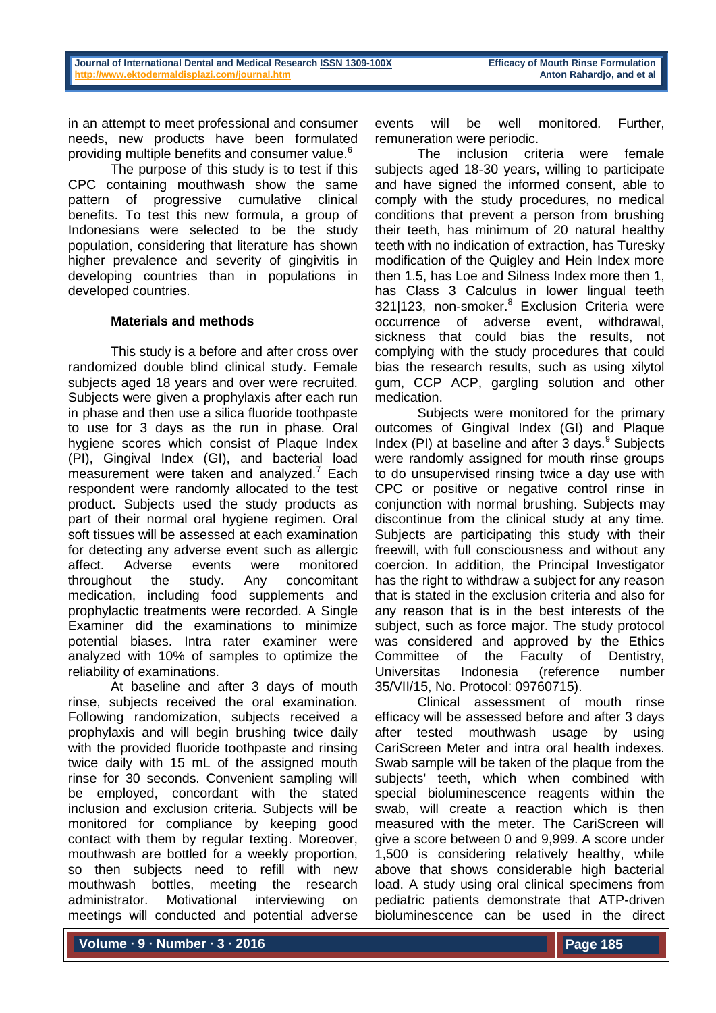in an attempt to meet professional and consumer needs, new products have been formulated providing multiple benefits and consumer value.<sup>6</sup>

The purpose of this study is to test if this CPC containing mouthwash show the same pattern of progressive cumulative clinical benefits. To test this new formula, a group of Indonesians were selected to be the study population, considering that literature has shown higher prevalence and severity of gingivitis in developing countries than in populations in developed countries.

## **Materials and methods**

This study is a before and after cross over randomized double blind clinical study. Female subjects aged 18 years and over were recruited. Subjects were given a prophylaxis after each run in phase and then use a silica fluoride toothpaste to use for 3 days as the run in phase. Oral hygiene scores which consist of Plaque Index (PI), Gingival Index (GI), and bacterial load measurement were taken and analyzed. $7$  Each respondent were randomly allocated to the test product. Subjects used the study products as part of their normal oral hygiene regimen. Oral soft tissues will be assessed at each examination for detecting any adverse event such as allergic affect. Adverse events were monitored throughout the study. Any concomitant medication, including food supplements and prophylactic treatments were recorded. A Single Examiner did the examinations to minimize potential biases. Intra rater examiner were analyzed with 10% of samples to optimize the reliability of examinations.

At baseline and after 3 days of mouth rinse, subjects received the oral examination. Following randomization, subjects received a prophylaxis and will begin brushing twice daily with the provided fluoride toothpaste and rinsing twice daily with 15 mL of the assigned mouth rinse for 30 seconds. Convenient sampling will be employed, concordant with the stated inclusion and exclusion criteria. Subjects will be monitored for compliance by keeping good contact with them by regular texting. Moreover, mouthwash are bottled for a weekly proportion, so then subjects need to refill with new mouthwash bottles, meeting the research administrator. Motivational interviewing on meetings will conducted and potential adverse

events will be well monitored. Further, remuneration were periodic.

The inclusion criteria were female subjects aged 18-30 years, willing to participate and have signed the informed consent, able to comply with the study procedures, no medical conditions that prevent a person from brushing their teeth, has minimum of 20 natural healthy teeth with no indication of extraction, has Turesky modification of the Quigley and Hein Index more then 1.5, has Loe and Silness Index more then 1, has Class 3 Calculus in lower lingual teeth 321|123, non-smoker.<sup>8</sup> Exclusion Criteria were occurrence of adverse event, withdrawal, sickness that could bias the results, not complying with the study procedures that could bias the research results, such as using xilytol gum, CCP ACP, gargling solution and other medication.

Subjects were monitored for the primary outcomes of Gingival Index (GI) and Plaque Index (PI) at baseline and after 3 days. $9$  Subjects were randomly assigned for mouth rinse groups to do unsupervised rinsing twice a day use with CPC or positive or negative control rinse in conjunction with normal brushing. Subjects may discontinue from the clinical study at any time. Subjects are participating this study with their freewill, with full consciousness and without any coercion. In addition, the Principal Investigator has the right to withdraw a subject for any reason that is stated in the exclusion criteria and also for any reason that is in the best interests of the subject, such as force major. The study protocol was considered and approved by the Ethics Committee of the Faculty of Dentistry, Universitas Indonesia (reference number 35/VII/15, No. Protocol: 09760715).

Clinical assessment of mouth rinse efficacy will be assessed before and after 3 days after tested mouthwash usage by using CariScreen Meter and intra oral health indexes. Swab sample will be taken of the plaque from the subjects' teeth, which when combined with special bioluminescence reagents within the swab, will create a reaction which is then measured with the meter. The CariScreen will give a score between 0 and 9,999. A score under 1,500 is considering relatively healthy, while above that shows considerable high bacterial load. A study using oral clinical specimens from pediatric patients demonstrate that ATP-driven bioluminescence can be used in the direct

**Volume ∙ 9 ∙ Number ∙ 3 ∙ 2016**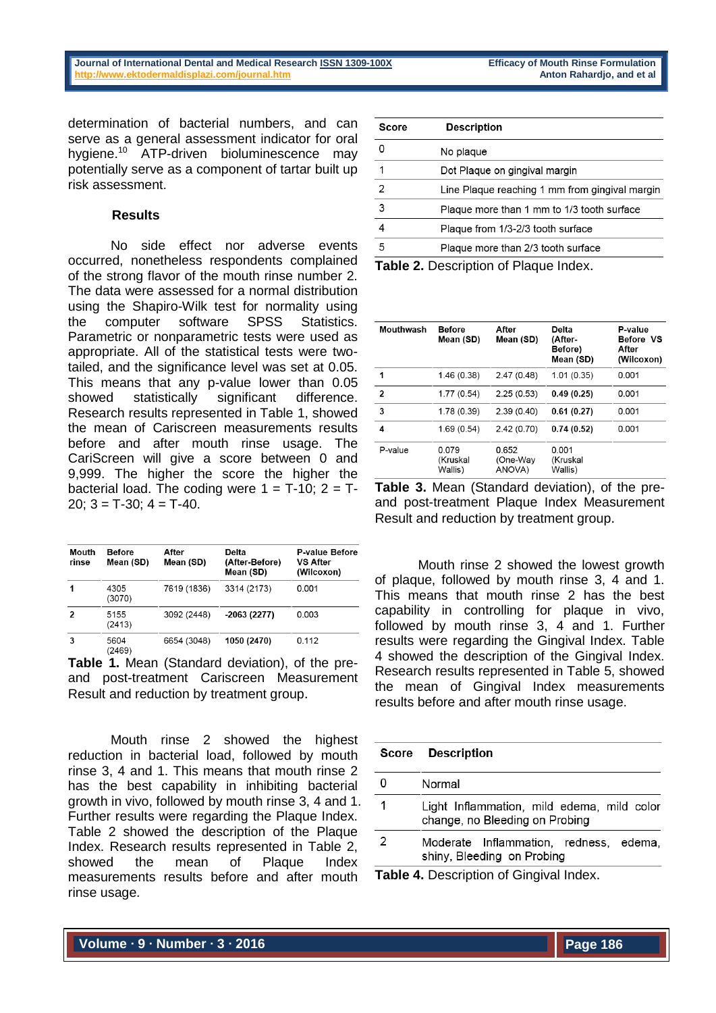determination of bacterial numbers, and can serve as a general assessment indicator for oral hvaiene.<sup>10</sup> ATP-driven bioluminescence may potentially serve as a component of tartar built up risk assessment.

### **Results**

No side effect nor adverse events occurred, nonetheless respondents complained of the strong flavor of the mouth rinse number 2. The data were assessed for a normal distribution using the Shapiro-Wilk test for normality using the computer software SPSS Statistics. Parametric or nonparametric tests were used as appropriate. All of the statistical tests were twotailed, and the significance level was set at 0.05. This means that any p-value lower than 0.05 showed statistically significant difference. Research results represented in Table 1, showed the mean of Cariscreen measurements results before and after mouth rinse usage. The CariScreen will give a score between 0 and 9,999. The higher the score the higher the bacterial load. The coding were  $1 = T-10$ ;  $2 = T-1$ 20;  $3 = T-30$ ;  $4 = T-40$ .

| Mouth | <b>Before</b>  | After       | Delta                       | <b>P-value Before</b><br><b>VS After</b><br>(Wilcoxon) |
|-------|----------------|-------------|-----------------------------|--------------------------------------------------------|
| rinse | Mean (SD)      | Mean (SD)   | (After-Before)<br>Mean (SD) |                                                        |
|       | 4305<br>(3070) | 7619 (1836) | 3314 (2173)                 | 0.001                                                  |
| 2     | 5155<br>(2413) | 3092 (2448) | $-2063(2277)$               | 0.003                                                  |
| 3     | 5604<br>(2469) | 6654 (3048) | 1050 (2470)                 | 0.112                                                  |

**Table 1.** Mean (Standard deviation), of the preand post-treatment Cariscreen Measurement Result and reduction by treatment group.

Mouth rinse 2 showed the highest reduction in bacterial load, followed by mouth rinse 3, 4 and 1. This means that mouth rinse 2 has the best capability in inhibiting bacterial growth in vivo, followed by mouth rinse 3, 4 and 1. Further results were regarding the Plaque Index. Table 2 showed the description of the Plaque Index. Research results represented in Table 2, showed the mean of Plaque Index measurements results before and after mouth rinse usage.

| Score | <b>Description</b>                             |
|-------|------------------------------------------------|
|       | No plaque                                      |
|       | Dot Plaque on gingival margin                  |
| 2     | Line Plaque reaching 1 mm from gingival margin |
| 3     | Plaque more than 1 mm to 1/3 tooth surface     |
|       | Plaque from 1/3-2/3 tooth surface              |
| 5     | Plaque more than 2/3 tooth surface             |

**Table 2.** Description of Plaque Index.

| <b>Mouthwash</b> | <b>Before</b><br>Mean (SD)   | After<br>Mean (SD)          | <b>Delta</b><br>(After-<br>Before)<br>Mean (SD) | P-value<br>Before VS<br>After<br>(Wilcoxon) |
|------------------|------------------------------|-----------------------------|-------------------------------------------------|---------------------------------------------|
| 1                | 1.46 (0.38)                  | 2.47(0.48)                  | 1.01(0.35)                                      | 0.001                                       |
| 2                | 1.77(0.54)                   | 2.25(0.53)                  | 0.49(0.25)                                      | 0.001                                       |
| 3                | 1.78 (0.39)                  | 2.39(0.40)                  | 0.61(0.27)                                      | 0.001                                       |
| 4                | 1.69 (0.54)                  | 2.42(0.70)                  | 0.74(0.52)                                      | 0.001                                       |
| P-value          | 0.079<br>(Kruskal<br>Wallis) | 0.652<br>(One-Way<br>ANOVA) | 0.001<br>(Kruskal<br>Wallis)                    |                                             |

**Table 3.** Mean (Standard deviation), of the preand post-treatment Plaque Index Measurement Result and reduction by treatment group.

Mouth rinse 2 showed the lowest growth of plaque, followed by mouth rinse 3, 4 and 1. This means that mouth rinse 2 has the best capability in controlling for plaque in vivo, followed by mouth rinse 3, 4 and 1. Further results were regarding the Gingival Index. Table 4 showed the description of the Gingival Index. Research results represented in Table 5, showed the mean of Gingival Index measurements results before and after mouth rinse usage.

| Score                                          | <b>Description</b>                                                           |  |  |
|------------------------------------------------|------------------------------------------------------------------------------|--|--|
| 0                                              | Normal                                                                       |  |  |
| 1                                              | Light Inflammation, mild edema, mild color<br>change, no Bleeding on Probing |  |  |
| 2                                              | Moderate Inflammation, redness, edema,<br>shiny, Bleeding on Probing         |  |  |
| <b>Table 4. Description of Gingival Index.</b> |                                                                              |  |  |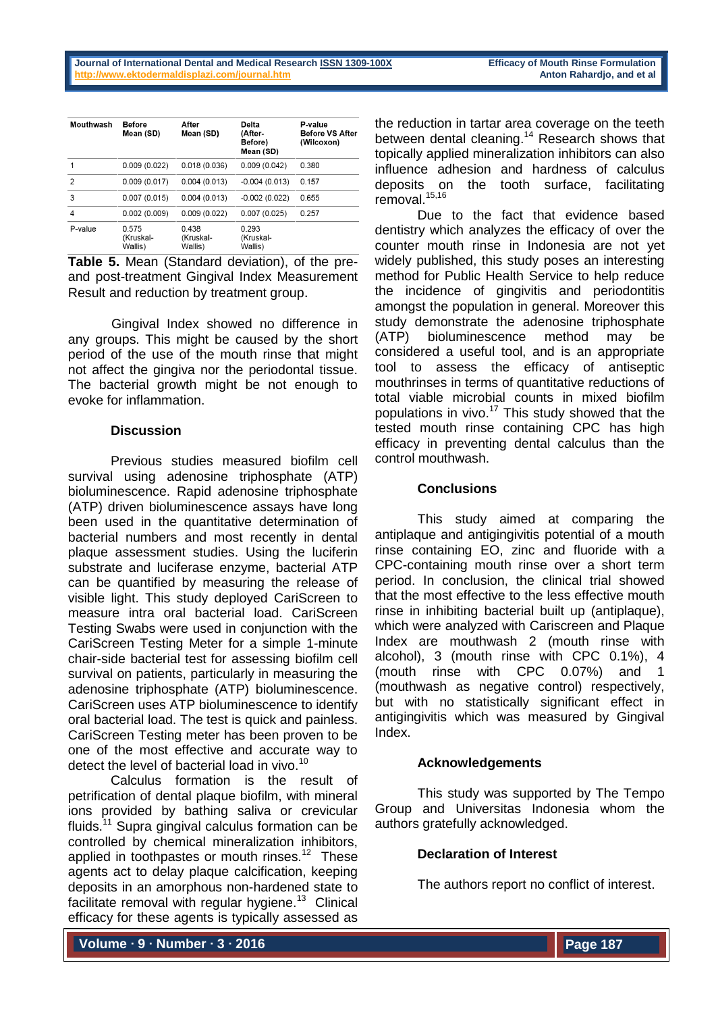| Mouthwash      | <b>Before</b><br>Mean (SD)    | After<br>Mean (SD)           | Delta<br>(After-<br>Before)<br>Mean (SD) | P-value<br><b>Before VS After</b><br>(Wilcoxon) |
|----------------|-------------------------------|------------------------------|------------------------------------------|-------------------------------------------------|
|                | 0.009(0.022)                  | 0.018(0.036)                 | 0.009(0.042)                             | 0.380                                           |
| $\mathfrak{p}$ | 0.009(0.017)                  | 0.004(0.013)                 | $-0.004(0.013)$                          | 0.157                                           |
| 3              | 0.007(0.015)                  | 0.004(0.013)                 | $-0.002(0.022)$                          | 0.655                                           |
| 4              | 0.002(0.009)                  | 0.009(0.022)                 | 0.007(0.025)                             | 0.257                                           |
| P-value        | 0.575<br>(Kruskal-<br>Wallis) | 0438<br>(Kruskal-<br>Wallis) | 0.293<br>(Kruskal-<br>Wallis)            |                                                 |

**Table 5.** Mean (Standard deviation), of the preand post-treatment Gingival Index Measurement Result and reduction by treatment group.

Gingival Index showed no difference in any groups. This might be caused by the short period of the use of the mouth rinse that might not affect the gingiva nor the periodontal tissue. The bacterial growth might be not enough to evoke for inflammation.

## **Discussion**

Previous studies measured biofilm cell survival using adenosine triphosphate (ATP) bioluminescence. Rapid adenosine triphosphate (ATP) driven bioluminescence assays have long been used in the quantitative determination of bacterial numbers and most recently in dental plaque assessment studies. Using the luciferin substrate and luciferase enzyme, bacterial ATP can be quantified by measuring the release of visible light. This study deployed CariScreen to measure intra oral bacterial load. CariScreen Testing Swabs were used in conjunction with the CariScreen Testing Meter for a simple 1-minute chair-side bacterial test for assessing biofilm cell survival on patients, particularly in measuring the adenosine triphosphate (ATP) bioluminescence. CariScreen uses ATP bioluminescence to identify oral bacterial load. The test is quick and painless. CariScreen Testing meter has been proven to be one of the most effective and accurate way to detect the level of bacterial load in vivo.<sup>10</sup>

Calculus formation is the result of petrification of dental plaque biofilm, with mineral ions provided by bathing saliva or crevicular fluids.<sup>11</sup> Supra gingival calculus formation can be controlled by chemical mineralization inhibitors, applied in toothpastes or mouth rinses.<sup>12</sup> These agents act to delay plaque calcification, keeping deposits in an amorphous non-hardened state to facilitate removal with regular hygiene.<sup>13</sup> Clinical efficacy for these agents is typically assessed as

the reduction in tartar area coverage on the teeth between dental cleaning.<sup>14</sup> Research shows that topically applied mineralization inhibitors can also influence adhesion and hardness of calculus deposits on the tooth surface, facilitating removal.<sup>15,16</sup>

Due to the fact that evidence based dentistry which analyzes the efficacy of over the counter mouth rinse in Indonesia are not yet widely published, this study poses an interesting method for Public Health Service to help reduce the incidence of gingivitis and periodontitis amongst the population in general. Moreover this study demonstrate the adenosine triphosphate (ATP) bioluminescence method may be considered a useful tool, and is an appropriate tool to assess the efficacy of antiseptic mouthrinses in terms of quantitative reductions of total viable microbial counts in mixed biofilm populations in vivo.<sup>17</sup> This study showed that the tested mouth rinse containing CPC has high efficacy in preventing dental calculus than the control mouthwash.

# **Conclusions**

This study aimed at comparing the antiplaque and antigingivitis potential of a mouth rinse containing EO, zinc and fluoride with a CPC-containing mouth rinse over a short term period. In conclusion, the clinical trial showed that the most effective to the less effective mouth rinse in inhibiting bacterial built up (antiplaque), which were analyzed with Cariscreen and Plaque Index are mouthwash 2 (mouth rinse with alcohol), 3 (mouth rinse with CPC 0.1%), 4 (mouth rinse with CPC 0.07%) and 1 (mouthwash as negative control) respectively, but with no statistically significant effect in antigingivitis which was measured by Gingival Index.

# **Acknowledgements**

This study was supported by The Tempo Group and Universitas Indonesia whom the authors gratefully acknowledged.

# **Declaration of Interest**

The authors report no conflict of interest.

**Volume ∙ 9 ∙ Number ∙ 3 ∙ 2016**